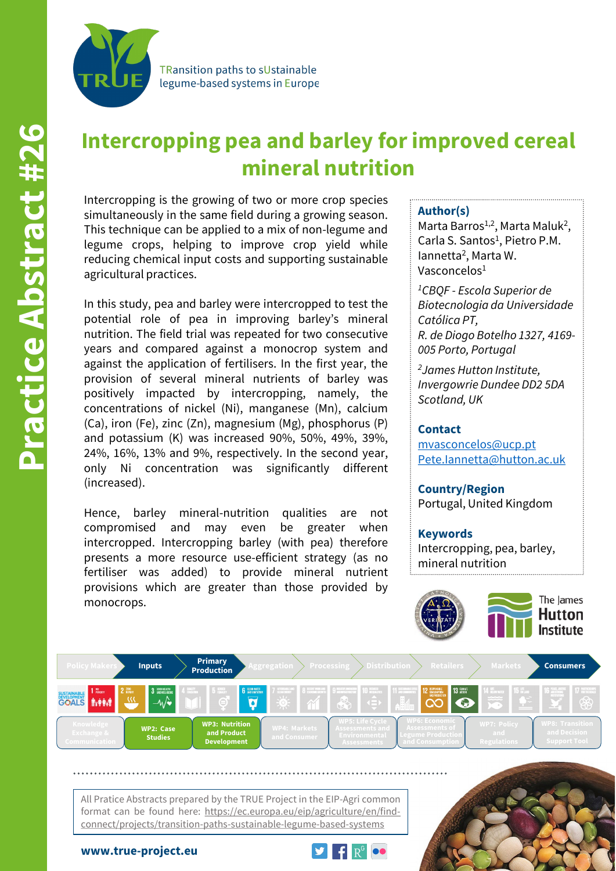

**TRansition paths to sUstainable** legume-based systems in Europe

# **Intercropping pea and barley for improved cereal mineral nutrition**

Intercropping is the growing of two or more crop species simultaneously in the same field during a growing season. This technique can be applied to a mix of non-legume and legume crops, helping to improve crop yield while reducing chemical input costs and supporting sustainable agricultural practices.

In this study, pea and barley were intercropped to test the potential role of pea in improving barley's mineral nutrition. The field trial was repeated for two consecutive years and compared against a monocrop system and against the application of fertilisers. In the first year, the provision of several mineral nutrients of barley was positively impacted by intercropping, namely, the concentrations of nickel (Ni), manganese (Mn), calcium (Ca), iron (Fe), zinc (Zn), magnesium (Mg), phosphorus (P) and potassium (K) was increased 90%, 50%, 49%, 39%, 24%, 16%, 13% and 9%, respectively. In the second year, only Ni concentration was significantly different (increased).

Hence, barley mineral-nutrition qualities are not compromised and may even be greater when intercropped. Intercropping barley (with pea) therefore presents a more resource use-efficient strategy (as no fertiliser was added) to provide mineral nutrient provisions which are greater than those provided by monocrops.

## **Author(s)**

Marta Barros<sup>1,2</sup>, Marta Maluk<sup>2</sup>, Carla S. Santos<sup>1</sup>, Pietro P.M. Iannetta2, Marta W. Vasconcelos1

*1CBQF - Escola Superior de Biotecnologia da Universidade Católica PT, R. de Diogo Botelho 1327, 4169- 005 Porto, Portugal*

*2James Hutton Institute, Invergowrie Dundee DD2 5DA Scotland, UK*

#### **Contact**

[mvasconcelos@ucp.pt](mailto:Monika.Weiss@awi.de) [Pete.Iannetta@hutton.ac.uk](mailto:Monika.Weiss@awi.de) 

**Country/Region** Portugal, United Kingdom

**Keywords** Intercropping, pea, barley, mineral nutrition





All Pratice Abstracts prepared by the TRUE Project in the EIP-Agri common format can be found here: https://ec.europa.eu/eip/agriculture/en/findconnect/projects/transition-paths-sustainable-legume-based-systems



**www.true-project.eu**